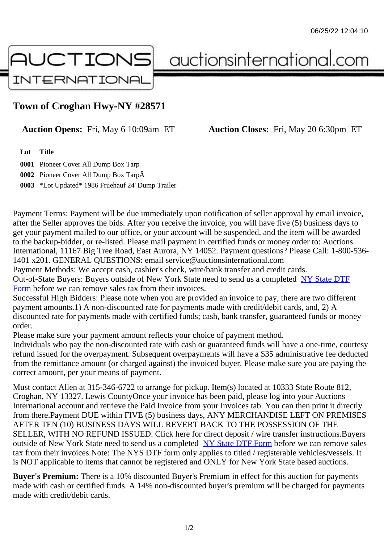## Town of Croghan Hwy-NY #28571

## Auction Opens: Fri, May 6 10:09am ET Auction Closes: Fri, May 20 6:30pm ET

Lot Title

0001 Pioneer Cover All Dump Box Tarp 0002 Pioneer Cover All Dump Box Tarp 0003 \*Lot Updated\* 1986 Fruehauf 24' Dump Trailer

Payment Terms: Payment will be due immediately upon notification of seller approval by email invoice, after the Seller approves the bids. After you receive the invoice, you will have five (5) business days to get your payment mailed to our office, or your account will be suspended, and the item will be awarded to the backup-bidder, or re-listed. Please mail payment in certified funds or money order to: Auctions International, 11167 Big Tree Road, East Aurora, NY 14052. Payment questions? Please Call: 1-800-53 1401 x201. GENERAL QUESTIONS: email service@auctionsinternational.com

Payment Methods: We accept cash, cashier's check, wire/bank transfer and credit cards. Out-of-State Buyers: Buyers outside of New York State need to send us a com blestate DTF Form before we can remove sales tax from their invoices.

Successful High Bidders: Please note when you are provided an invoice to pay, there are two different payment amounts.1) A non-discounted rate for payments made with credit/de[bit cards, and](https://www.auctionsinternational.com/auxiliary/downloads/DTF_Form/dtf_fill_in.pdf), 2) A [disco](https://www.auctionsinternational.com/auxiliary/downloads/DTF_Form/dtf_fill_in.pdf)unted rate for payments made with certified funds; cash, bank transfer, quaranteed funds or mone order.

Please make sure your payment amount reflects your choice of payment method.

Individuals who pay the non-discounted rate with cash or quaranteed funds will have a one-time, courte refund issued for the overpayment. Subsequent overpayments will have a \$35 administrative fee deduc from the remittance amount (or charged against) the invoiced buyer. Please make sure you are paying correct amount, per your means of payment.

Must contact Allen at 315-346-6722 to arrange for pickup. Item(s) located at 10333 State Route 812, Croghan, NY 13327. Lewis CountyOnce your invoice has been paid, please log into your Auctions International account and retrieve the Paid Invoice from your Invoices tab. You can then print it directly from there.Payment DUE within FIVE (5) business days, ANY MERCHANDISE LEFT ON PREMISES AFTER TEN (10) BUSINESS DAYS WILL REVERT BACK TO THE POSSESSION OF THE SELLER, WITH NO REFUND ISSUED. Click here for direct deposit / wire transfer instructions.Buyers outside of New York State need to send us a complete **State DTF Form before we can remove sales** tax from their invoices.Note: The NYS DTF form only applies to titled / registerable vehicles/vessels. It is NOT applicable to items that cannot be registered and ONLY for New York State based auctions.

Buyer's Premium: There is a 10% discounted Buye[r's Premium in effec](https://www.auctionsinternational.com/auxiliary/downloads/DTF_Form/dtf_fill_in.pdf)t for this auction for payments made with cash or certified funds. A 14% non-discounted buyer's premium will be charged for payments made with credit/debit cards.